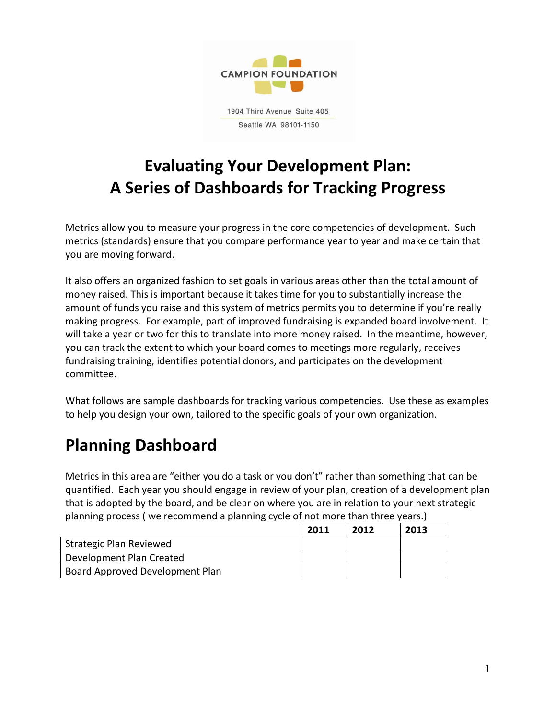

# **Evaluating Your Development Plan: A Series of Dashboards for Tracking Progress**

Metrics allow you to measure your progress in the core competencies of development. Such metrics (standards) ensure that you compare performance year to year and make certain that you are moving forward.

It also offers an organized fashion to set goals in various areas other than the total amount of money raised. This is important because it takes time for you to substantially increase the amount of funds you raise and this system of metrics permits you to determine if you're really making progress. For example, part of improved fundraising is expanded board involvement. It will take a year or two for this to translate into more money raised. In the meantime, however, you can track the extent to which your board comes to meetings more regularly, receives fundraising training, identifies potential donors, and participates on the development committee.

What follows are sample dashboards for tracking various competencies. Use these as examples to help you design your own, tailored to the specific goals of your own organization.

# **Planning Dashboard**

Metrics in this area are "either you do a task or you don't" rather than something that can be quantified. Each year you should engage in review of your plan, creation of a development plan that is adopted by the board, and be clear on where you are in relation to your next strategic planning process ( we recommend a planning cycle of not more than three years.)

|                                 | 2011 | 2012 | 2013 |
|---------------------------------|------|------|------|
| Strategic Plan Reviewed         |      |      |      |
| Development Plan Created        |      |      |      |
| Board Approved Development Plan |      |      |      |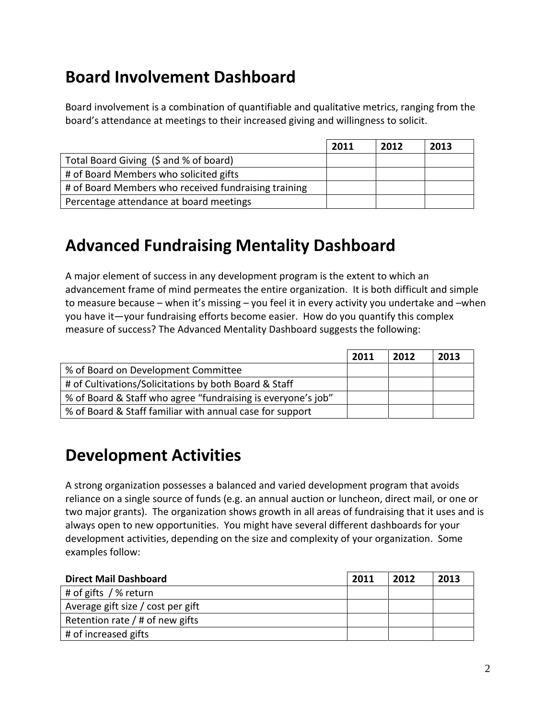## **Board Involvement Dashboard**

Board involvement is a combination of quantifiable and qualitative metrics, ranging from the board's attendance at meetings to their increased giving and willingness to solicit.

|                                                      | 2011 | 2012 | 2013 |
|------------------------------------------------------|------|------|------|
| Total Board Giving (\$ and % of board)               |      |      |      |
| # of Board Members who solicited gifts               |      |      |      |
| # of Board Members who received fundraising training |      |      |      |
| Percentage attendance at board meetings              |      |      |      |

## **Advanced Fundraising Mentality Dashboard**

A major element of success in any development program is the extent to which an advancement frame of mind permeates the entire organization. It is both difficult and simple to measure because – when it's missing – you feel it in every activity you undertake and –when you have it—your fundraising efforts become easier. How do you quantify this complex measure of success? The Advanced Mentality Dashboard suggests the following:

|                                                              | 2011 | 2012 | 2013 |
|--------------------------------------------------------------|------|------|------|
| % of Board on Development Committee                          |      |      |      |
| # of Cultivations/Solicitations by both Board & Staff        |      |      |      |
| % of Board & Staff who agree "fundraising is everyone's job" |      |      |      |
| % of Board & Staff familiar with annual case for support     |      |      |      |

#### **Development Activities**

A strong organization possesses a balanced and varied development program that avoids reliance on a single source of funds (e.g. an annual auction or luncheon, direct mail, or one or two major grants). The organization shows growth in all areas of fundraising that it uses and is always open to new opportunities. You might have several different dashboards for your development activities, depending on the size and complexity of your organization. Some examples follow:

| <b>Direct Mail Dashboard</b>      | 2011 | 2012 | 2013 |
|-----------------------------------|------|------|------|
| # of gifts / % return             |      |      |      |
| Average gift size / cost per gift |      |      |      |
| Retention rate $/$ # of new gifts |      |      |      |
| # of increased gifts              |      |      |      |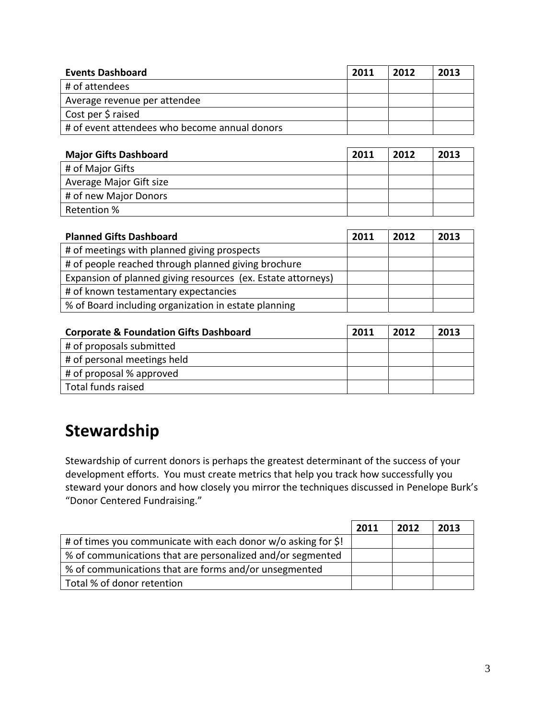| <b>Events Dashboard</b>                       | 2011 | 2012 | 2013 |
|-----------------------------------------------|------|------|------|
| # of attendees                                |      |      |      |
| Average revenue per attendee                  |      |      |      |
| Cost per \$ raised                            |      |      |      |
| # of event attendees who become annual donors |      |      |      |

| <b>Major Gifts Dashboard</b> | 2011 | 2012 | 2013 |
|------------------------------|------|------|------|
| # of Major Gifts             |      |      |      |
| Average Major Gift size      |      |      |      |
| # of new Major Donors        |      |      |      |
| Retention %                  |      |      |      |

| <b>Planned Gifts Dashboard</b>                               | 2011 | 2012 | 2013 |
|--------------------------------------------------------------|------|------|------|
| # of meetings with planned giving prospects                  |      |      |      |
| # of people reached through planned giving brochure          |      |      |      |
| Expansion of planned giving resources (ex. Estate attorneys) |      |      |      |
| # of known testamentary expectancies                         |      |      |      |
| % of Board including organization in estate planning         |      |      |      |

| <b>Corporate &amp; Foundation Gifts Dashboard</b> | 2011 | 2012 | 2013 |
|---------------------------------------------------|------|------|------|
| # of proposals submitted                          |      |      |      |
| # of personal meetings held                       |      |      |      |
| # of proposal % approved                          |      |      |      |
| Total funds raised                                |      |      |      |

## **Stewardship**

Stewardship of current donors is perhaps the greatest determinant of the success of your development efforts. You must create metrics that help you track how successfully you steward your donors and how closely you mirror the techniques discussed in Penelope Burk's "Donor Centered Fundraising."

|                                                               | 2011 | 2012 | 2013 |
|---------------------------------------------------------------|------|------|------|
| # of times you communicate with each donor w/o asking for \$! |      |      |      |
| % of communications that are personalized and/or segmented    |      |      |      |
| % of communications that are forms and/or unsegmented         |      |      |      |
| Total % of donor retention                                    |      |      |      |